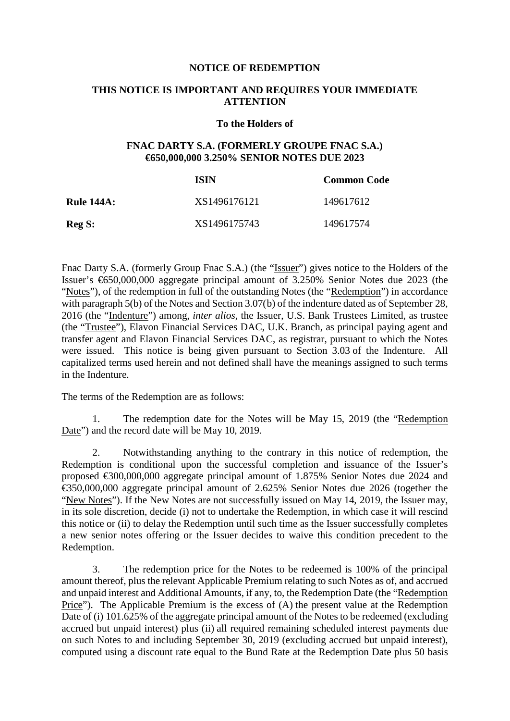## **NOTICE OF REDEMPTION**

## **THIS NOTICE IS IMPORTANT AND REQUIRES YOUR IMMEDIATE ATTENTION**

## **To the Holders of**

## **FNAC DARTY S.A. (FORMERLY GROUPE FNAC S.A.) €650,000,000 3.250% SENIOR NOTES DUE 2023**

|                   | ISIN         | <b>Common Code</b> |
|-------------------|--------------|--------------------|
| <b>Rule 144A:</b> | XS1496176121 | 149617612          |
| Reg S:            | XS1496175743 | 149617574          |

Fnac Darty S.A. (formerly Group Fnac S.A.) (the "Issuer") gives notice to the Holders of the Issuer's €650,000,000 aggregate principal amount of 3.250% Senior Notes due 2023 (the "Notes"), of the redemption in full of the outstanding Notes (the "Redemption") in accordance with paragraph 5(b) of the Notes and Section 3.07(b) of the indenture dated as of September 28, 2016 (the "Indenture") among, *inter alios*, the Issuer, U.S. Bank Trustees Limited, as trustee (the "Trustee"), Elavon Financial Services DAC, U.K. Branch, as principal paying agent and transfer agent and Elavon Financial Services DAC, as registrar, pursuant to which the Notes were issued. This notice is being given pursuant to Section 3.03 of the Indenture. All capitalized terms used herein and not defined shall have the meanings assigned to such terms in the Indenture.

The terms of the Redemption are as follows:

1. The redemption date for the Notes will be May 15, 2019 (the "Redemption Date") and the record date will be May 10, 2019.

2. Notwithstanding anything to the contrary in this notice of redemption, the Redemption is conditional upon the successful completion and issuance of the Issuer's proposed €300,000,000 aggregate principal amount of 1.875% Senior Notes due 2024 and €350,000,000 aggregate principal amount of 2.625% Senior Notes due 2026 (together the "New Notes"). If the New Notes are not successfully issued on May 14, 2019, the Issuer may, in its sole discretion, decide (i) not to undertake the Redemption, in which case it will rescind this notice or (ii) to delay the Redemption until such time as the Issuer successfully completes a new senior notes offering or the Issuer decides to waive this condition precedent to the Redemption.

3. The redemption price for the Notes to be redeemed is 100% of the principal amount thereof, plus the relevant Applicable Premium relating to such Notes as of, and accrued and unpaid interest and Additional Amounts, if any, to, the Redemption Date (the "Redemption Price"). The Applicable Premium is the excess of (A) the present value at the Redemption Date of (i) 101.625% of the aggregate principal amount of the Notes to be redeemed (excluding accrued but unpaid interest) plus (ii) all required remaining scheduled interest payments due on such Notes to and including September 30, 2019 (excluding accrued but unpaid interest), computed using a discount rate equal to the Bund Rate at the Redemption Date plus 50 basis